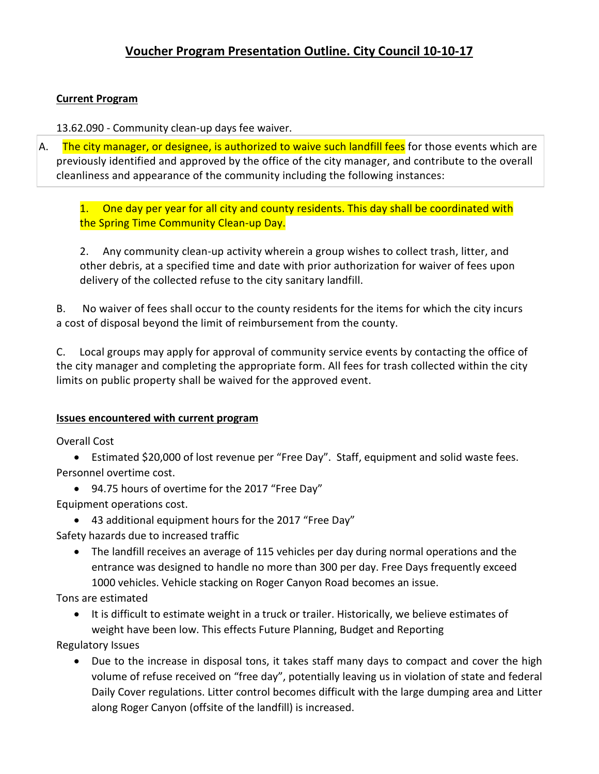## **Current Program**

13.62.090 - Community clean-up days fee waiver.

A. The city manager, or designee, is authorized to waive such landfill fees for those events which are previously identified and approved by the office of the city manager, and contribute to the overall cleanliness and appearance of the community including the following instances:

1. One day per year for all city and county residents. This day shall be coordinated with the Spring Time Community Clean-up Day.

2. Any community clean-up activity wherein a group wishes to collect trash, litter, and other debris, at a specified time and date with prior authorization for waiver of fees upon delivery of the collected refuse to the city sanitary landfill.

B. No waiver of fees shall occur to the county residents for the items for which the city incurs a cost of disposal beyond the limit of reimbursement from the county.

C. Local groups may apply for approval of community service events by contacting the office of the city manager and completing the appropriate form. All fees for trash collected within the city limits on public property shall be waived for the approved event.

## **Issues encountered with current program**

Overall Cost

• Estimated \$20,000 of lost revenue per "Free Day". Staff, equipment and solid waste fees. Personnel overtime cost.

- 94.75 hours of overtime for the 2017 "Free Day"
- Equipment operations cost.
	- 43 additional equipment hours for the 2017 "Free Day"
- Safety hazards due to increased traffic
	- The landfill receives an average of 115 vehicles per day during normal operations and the entrance was designed to handle no more than 300 per day. Free Days frequently exceed 1000 vehicles. Vehicle stacking on Roger Canyon Road becomes an issue.

Tons are estimated

• It is difficult to estimate weight in a truck or trailer. Historically, we believe estimates of weight have been low. This effects Future Planning, Budget and Reporting

Regulatory Issues

• Due to the increase in disposal tons, it takes staff many days to compact and cover the high volume of refuse received on "free day", potentially leaving us in violation of state and federal Daily Cover regulations. Litter control becomes difficult with the large dumping area and Litter along Roger Canyon (offsite of the landfill) is increased.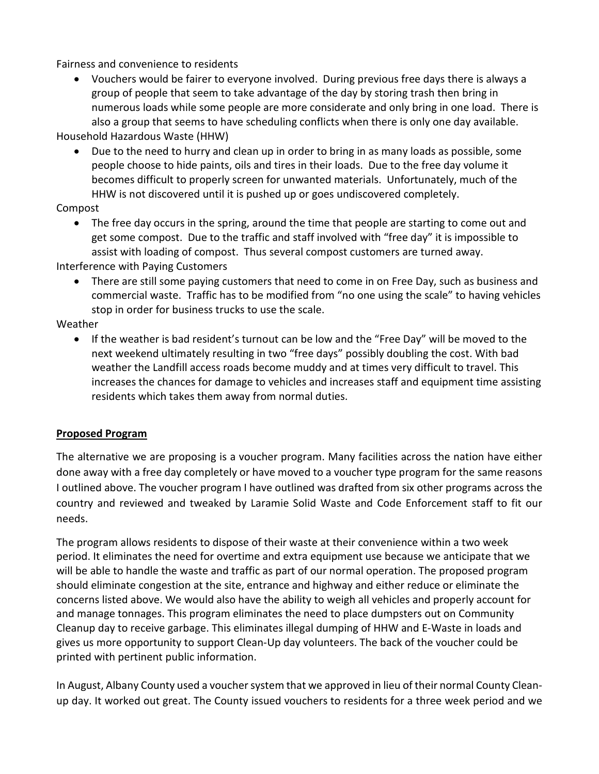Fairness and convenience to residents

• Vouchers would be fairer to everyone involved. During previous free days there is always a group of people that seem to take advantage of the day by storing trash then bring in numerous loads while some people are more considerate and only bring in one load. There is also a group that seems to have scheduling conflicts when there is only one day available.

Household Hazardous Waste (HHW)

• Due to the need to hurry and clean up in order to bring in as many loads as possible, some people choose to hide paints, oils and tires in their loads. Due to the free day volume it becomes difficult to properly screen for unwanted materials. Unfortunately, much of the HHW is not discovered until it is pushed up or goes undiscovered completely.

Compost

• The free day occurs in the spring, around the time that people are starting to come out and get some compost. Due to the traffic and staff involved with "free day" it is impossible to assist with loading of compost. Thus several compost customers are turned away.

Interference with Paying Customers

• There are still some paying customers that need to come in on Free Day, such as business and commercial waste. Traffic has to be modified from "no one using the scale" to having vehicles stop in order for business trucks to use the scale.

Weather

• If the weather is bad resident's turnout can be low and the "Free Day" will be moved to the next weekend ultimately resulting in two "free days" possibly doubling the cost. With bad weather the Landfill access roads become muddy and at times very difficult to travel. This increases the chances for damage to vehicles and increases staff and equipment time assisting residents which takes them away from normal duties.

## **Proposed Program**

The alternative we are proposing is a voucher program. Many facilities across the nation have either done away with a free day completely or have moved to a voucher type program for the same reasons I outlined above. The voucher program I have outlined was drafted from six other programs across the country and reviewed and tweaked by Laramie Solid Waste and Code Enforcement staff to fit our needs.

The program allows residents to dispose of their waste at their convenience within a two week period. It eliminates the need for overtime and extra equipment use because we anticipate that we will be able to handle the waste and traffic as part of our normal operation. The proposed program should eliminate congestion at the site, entrance and highway and either reduce or eliminate the concerns listed above. We would also have the ability to weigh all vehicles and properly account for and manage tonnages. This program eliminates the need to place dumpsters out on Community Cleanup day to receive garbage. This eliminates illegal dumping of HHW and E-Waste in loads and gives us more opportunity to support Clean-Up day volunteers. The back of the voucher could be printed with pertinent public information.

In August, Albany County used a voucher system that we approved in lieu of their normal County Cleanup day. It worked out great. The County issued vouchers to residents for a three week period and we